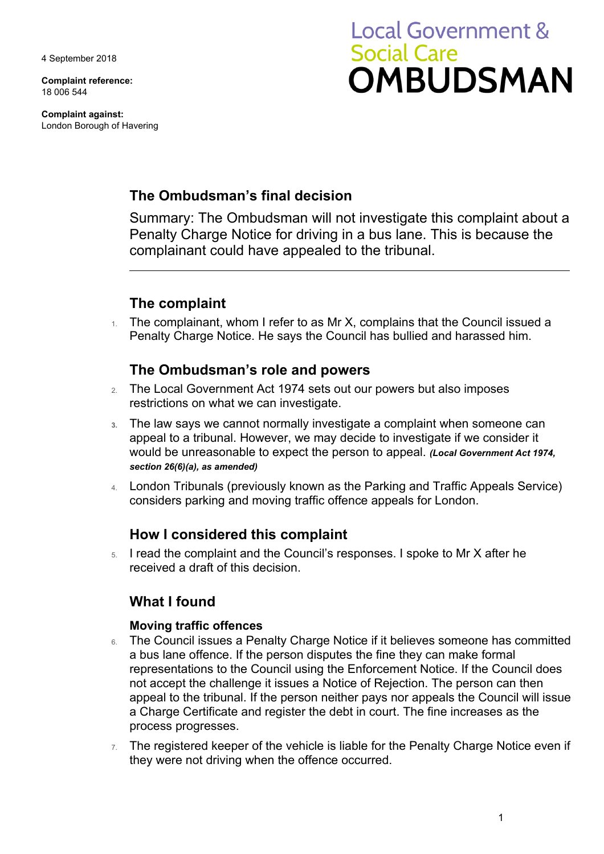4 September 2018

**Complaint reference:**  18 006 544

**Complaint against:**  London Borough of Havering

# **Local Government & Social Care OMBUDSMAN**

# **The Ombudsman's final decision**

Summary: The Ombudsman will not investigate this complaint about a Penalty Charge Notice for driving in a bus lane. This is because the complainant could have appealed to the tribunal.

# **The complaint**

 $1.$  The complainant, whom I refer to as Mr X, complains that the Council issued a Penalty Charge Notice. He says the Council has bullied and harassed him.

## **The Ombudsman's role and powers**

- 2. The Local Government Act 1974 sets out our powers but also imposes restrictions on what we can investigate.
- **3.** The law says we cannot normally investigate a complaint when someone can appeal to a tribunal. However, we may decide to investigate if we consider it would be unreasonable to expect the person to appeal. *(Local Government Act 1974, section 26(6)(a), as amended)*
- 4. London Tribunals (previously known as the Parking and Traffic Appeals Service) considers parking and moving traffic offence appeals for London.

## **How I considered this complaint**

5. I read the complaint and the Council's responses. I spoke to Mr X after he received a draft of this decision.

## **What I found**

## **Moving traffic offences**

- not accept the challenge it issues a Notice of Rejection. The person can then a Charge Certificate and register the debt in court. The fine increases as the 6. The Council issues a Penalty Charge Notice if it believes someone has committed a bus lane offence. If the person disputes the fine they can make formal representations to the Council using the Enforcement Notice. If the Council does appeal to the tribunal. If the person neither pays nor appeals the Council will issue process progresses.
- $7.$  The registered keeper of the vehicle is liable for the Penalty Charge Notice even if they were not driving when the offence occurred.